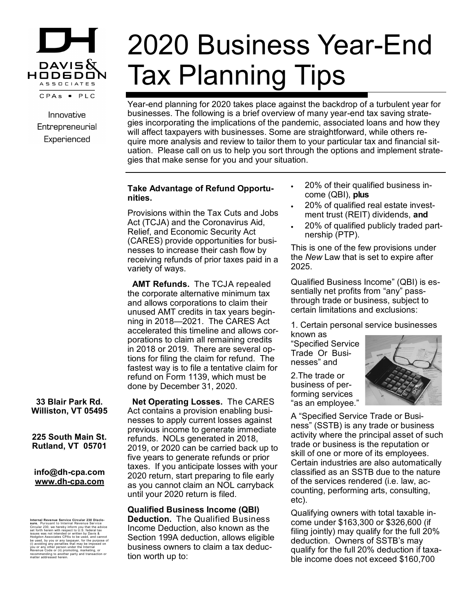

Innovative Entrepreneurial Experienced

# 2020 Business Year-End Tax Planning Tips

Year-end planning for 2020 takes place against the backdrop of a turbulent year for businesses. The following is a brief overview of many year-end tax saving strategies incorporating the implications of the pandemic, associated loans and how they will affect taxpayers with businesses. Some are straightforward, while others require more analysis and review to tailor them to your particular tax and financial situation. Please call on us to help you sort through the options and implement strategies that make sense for you and your situation.

## **Take Advantage of Refund Opportunities.**

Provisions within the Tax Cuts and Jobs Act (TCJA) and the Coronavirus Aid, Relief, and Economic Security Act (CARES) provide opportunities for businesses to increase their cash flow by receiving refunds of prior taxes paid in a variety of ways.

 **AMT Refunds.** The TCJA repealed the corporate alternative minimum tax and allows corporations to claim their unused AMT credits in tax years beginning in 2018—2021. The CARES Act accelerated this timeline and allows corporations to claim all remaining credits in 2018 or 2019. There are several options for filing the claim for refund. The fastest way is to file a tentative claim for refund on Form 1139, which must be done by December 31, 2020.

 **Net Operating Losses.** The CARES Act contains a provision enabling businesses to apply current losses against previous income to generate immediate refunds. NOLs generated in 2018, 2019, or 2020 can be carried back up to five years to generate refunds or prior taxes. If you anticipate losses with your 2020 return, start preparing to file early as you cannot claim an NOL carryback until your 2020 return is filed.

**Qualified Business Income (QBI) Deduction.** The Qualified Business Income Deduction, also known as the Section 199A deduction, allows eligible business owners to claim a tax deduction worth up to:

- 20% of their qualified business income (QBI), **plus**
- 20% of qualified real estate investment trust (REIT) dividends, **and**
- 20% of qualified publicly traded partnership (PTP).

This is one of the few provisions under the *New* Law that is set to expire after 2025.

Qualified Business Income" (QBI) is essentially net profits from "any" passthrough trade or business, subject to certain limitations and exclusions:

1. Certain personal service businesses

known as "Specified Service Trade Or Businesses" and

2.The trade or business of performing services "as an employee."



A "Specified Service Trade or Business" (SSTB) is any trade or business activity where the principal asset of such trade or business is the reputation or skill of one or more of its employees. Certain industries are also automatically classified as an SSTB due to the nature of the services rendered (i.e. law, accounting, performing arts, consulting, etc).

Qualifying owners with total taxable income under \$163,300 or \$326,600 (if filing jointly) may qualify for the full 20% deduction. Owners of SSTB's may qualify for the full 20% deduction if taxable income does not exceed \$160,700

**33 Blair Park Rd. Williston, VT 05495**

**225 South Main St. Rutland, VT 05701**

**info@dh-cpa.com www.dh-cpa.com**

Internal Revenue Service Circular 230 Disclo-<br>sure. Pursuant to Internal Revenue Service<br>sure. Pursuant to Internal Revenue Service<br>issues was not Intended or written by Davis &<br>Hodgdon Associates CPAs to be used, and cann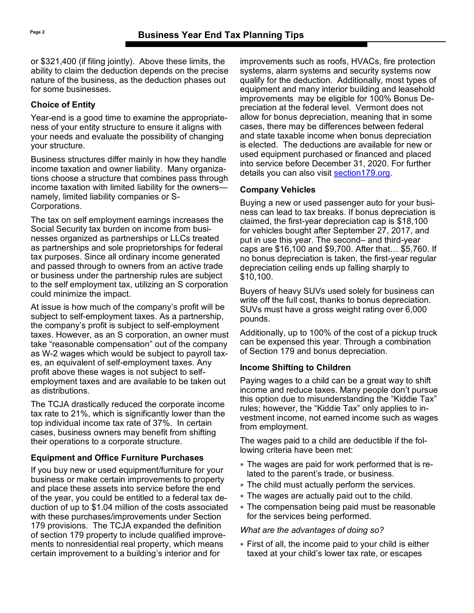or \$321,400 (if filing jointly). Above these limits, the ability to claim the deduction depends on the precise nature of the business, as the deduction phases out for some businesses.

#### **Choice of Entity**

Year-end is a good time to examine the appropriateness of your entity structure to ensure it aligns with your needs and evaluate the possibility of changing your structure.

Business structures differ mainly in how they handle income taxation and owner liability. Many organizations choose a structure that combines pass through income taxation with limited liability for the owners namely, limited liability companies or S-Corporations.

The tax on self employment earnings increases the Social Security tax burden on income from businesses organized as partnerships or LLCs treated as partnerships and sole proprietorships for federal tax purposes. Since all ordinary income generated and passed through to owners from an active trade or business under the partnership rules are subject to the self employment tax, utilizing an S corporation could minimize the impact.

At issue is how much of the company's profit will be subject to self-employment taxes. As a partnership, the company's profit is subject to self-employment taxes. However, as an S corporation, an owner must take "reasonable compensation" out of the company as W-2 wages which would be subject to payroll taxes, an equivalent of self-employment taxes. Any profit above these wages is not subject to selfemployment taxes and are available to be taken out as distributions.

The TCJA drastically reduced the corporate income tax rate to 21%, which is significantly lower than the top individual income tax rate of 37%. In certain cases, business owners may benefit from shifting their operations to a corporate structure.

# **Equipment and Office Furniture Purchases**

If you buy new or used equipment/furniture for your business or make certain improvements to property and place these assets into service before the end of the year, you could be entitled to a federal tax deduction of up to \$1.04 million of the costs associated with these purchases/improvements under Section 179 provisions. The TCJA expanded the definition of section 179 property to include qualified improvements to nonresidential real property, which means certain improvement to a building's interior and for

improvements such as roofs, HVACs, fire protection systems, alarm systems and security systems now qualify for the deduction. Additionally, most types of equipment and many interior building and leasehold improvements may be eligible for 100% Bonus Depreciation at the federal level. Vermont does not allow for bonus depreciation, meaning that in some cases, there may be differences between federal and state taxable income when bonus depreciation is elected. The deductions are available for new or used equipment purchased or financed and placed into service before December 31, 2020. For further details you can also visit [section179.org.](https://www.section179.org/)

#### **Company Vehicles**

Buying a new or used passenger auto for your business can lead to tax breaks. If bonus depreciation is claimed, the first-year depreciation cap is \$18,100 for vehicles bought after September 27, 2017, and put in use this year. The second– and third-year caps are \$16,100 and \$9,700. After that… \$5,760. If no bonus depreciation is taken, the first-year regular depreciation ceiling ends up falling sharply to \$10,100.

Buyers of heavy SUVs used solely for business can write off the full cost, thanks to bonus depreciation. SUVs must have a gross weight rating over 6,000 pounds.

Additionally, up to 100% of the cost of a pickup truck can be expensed this year. Through a combination of Section 179 and bonus depreciation.

# **Income Shifting to Children**

Paying wages to a child can be a great way to shift income and reduce taxes. Many people don't pursue this option due to misunderstanding the "Kiddie Tax" rules; however, the "Kiddie Tax" only applies to investment income, not earned income such as wages from employment.

The wages paid to a child are deductible if the following criteria have been met:

- The wages are paid for work performed that is related to the parent's trade, or business.
- The child must actually perform the services.
- The wages are actually paid out to the child.
- The compensation being paid must be reasonable for the services being performed.

#### *What are the advantages of doing so?*

 First of all, the income paid to your child is either taxed at your child's lower tax rate, or escapes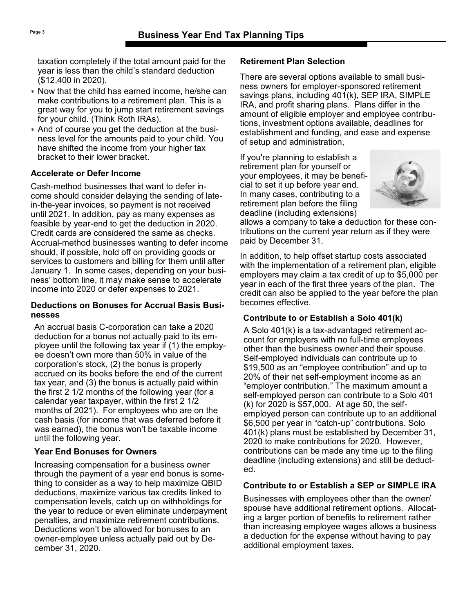taxation completely if the total amount paid for the year is less than the child's standard deduction (\$12,400 in 2020).

- Now that the child has earned income, he/she can make contributions to a retirement plan. This is a great way for you to jump start retirement savings for your child. (Think Roth IRAs).
- And of course you get the deduction at the business level for the amounts paid to your child. You have shifted the income from your higher tax bracket to their lower bracket.

## **Accelerate or Defer Income**

Cash-method businesses that want to defer income should consider delaying the sending of latein-the-year invoices, so payment is not received until 2021. In addition, pay as many expenses as feasible by year-end to get the deduction in 2020. Credit cards are considered the same as checks. Accrual-method businesses wanting to defer income should, if possible, hold off on providing goods or services to customers and billing for them until after January 1. In some cases, depending on your business' bottom line, it may make sense to accelerate income into 2020 or defer expenses to 2021.

#### **Deductions on Bonuses for Accrual Basis Businesses**

An accrual basis C-corporation can take a 2020 deduction for a bonus not actually paid to its employee until the following tax year if (1) the employee doesn't own more than 50% in value of the corporation's stock, (2) the bonus is properly accrued on its books before the end of the current tax year, and (3) the bonus is actually paid within the first 2 1/2 months of the following year (for a calendar year taxpayer, within the first 2 1/2 months of 2021). For employees who are on the cash basis (for income that was deferred before it was earned), the bonus won't be taxable income until the following year.

# **Year End Bonuses for Owners**

Increasing compensation for a business owner through the payment of a year end bonus is something to consider as a way to help maximize QBID deductions, maximize various tax credits linked to compensation levels, catch up on withholdings for the year to reduce or even eliminate underpayment penalties, and maximize retirement contributions. Deductions won't be allowed for bonuses to an owner-employee unless actually paid out by December 31, 2020.

#### **Retirement Plan Selection**

There are several options available to small business owners for employer-sponsored retirement savings plans, including 401(k), SEP IRA, SIMPLE IRA, and profit sharing plans. Plans differ in the amount of eligible employer and employee contributions, investment options available, deadlines for establishment and funding, and ease and expense of setup and administration,

If you're planning to establish a retirement plan for yourself or your employees, it may be beneficial to set it up before year end. In many cases, contributing to a retirement plan before the filing deadline (including extensions)



allows a company to take a deduction for these contributions on the current year return as if they were paid by December 31.

In addition, to help offset startup costs associated with the implementation of a retirement plan, eligible employers may claim a tax credit of up to \$5,000 per year in each of the first three years of the plan. The credit can also be applied to the year before the plan becomes effective.

# **Contribute to or Establish a Solo 401(k)**

A Solo 401(k) is a tax-advantaged retirement account for employers with no full-time employees other than the business owner and their spouse. Self-employed individuals can contribute up to \$19,500 as an "employee contribution" and up to 20% of their net self-employment income as an "employer contribution." The maximum amount a self-employed person can contribute to a Solo 401 (k) for 2020 is \$57,000. At age 50, the selfemployed person can contribute up to an additional \$6,500 per year in "catch-up" contributions. Solo 401(k) plans must be established by December 31, 2020 to make contributions for 2020. However, contributions can be made any time up to the filing deadline (including extensions) and still be deducted.

# **Contribute to or Establish a SEP or SIMPLE IRA**

Businesses with employees other than the owner/ spouse have additional retirement options. Allocating a larger portion of benefits to retirement rather than increasing employee wages allows a business a deduction for the expense without having to pay additional employment taxes.